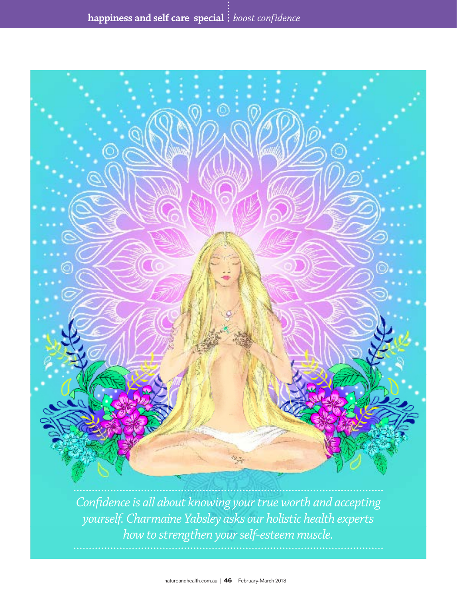

*Confidence is all about knowing your true worth and accepting yourself. Charmaine Yabsley asks our holistic health experts how to strengthen your self-esteem muscle.*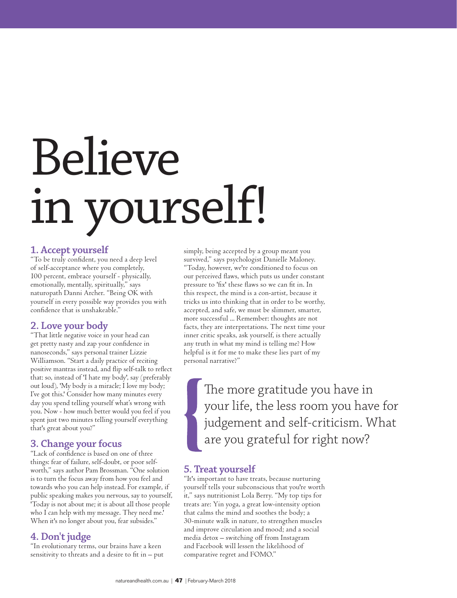# Believe in yourself!

### **1. Accept yourself**

"To be truly confident, you need a deep level of self-acceptance where you completely, 100 percent, embrace yourself - physically, emotionally, mentally, spiritually," says naturopath Danni Archer. "Being OK with yourself in every possible way provides you with confidence that is unshakeable."

### **2. Love your body**

"That little negative voice in your head can get pretty nasty and zap your confidence in nanoseconds," says personal trainer Lizzie Williamson. "Start a daily practice of reciting positive mantras instead, and flip self-talk to reflect that: so, instead of 'I hate my body', say (preferably out loud), 'My body is a miracle; I love my body; I've got this.' Consider how many minutes every day you spend telling yourself what's wrong with you. Now - how much better would you feel if you spent just two minutes telling yourself everything that's great about you?"

### **3. Change your focus**

"Lack of confidence is based on one of three things: fear of failure, self-doubt, or poor selfworth," says author Pam Brossman. "One solution is to turn the focus away from how you feel and towards who you can help instead. For example, if public speaking makes you nervous, say to yourself, 'Today is not about me; it is about all those people who I can help with my message. They need me.' When it's no longer about you, fear subsides."

### **4. Don't judge**

"In evolutionary terms, our brains have a keen sensitivity to threats and a desire to fit in – put

simply, being accepted by a group meant you survived," says psychologist Danielle Maloney. "Today, however, we're conditioned to focus on our perceived flaws, which puts us under constant pressure to 'fix' these flaws so we can fit in. In this respect, the mind is a con-artist, because it tricks us into thinking that in order to be worthy, accepted, and safe, we must be slimmer, smarter, more successful ... Remember: thoughts are not facts, they are interpretations. The next time your inner critic speaks, ask yourself, is there actually any truth in what my mind is telling me? How helpful is it for me to make these lies part of my personal narrative?"

> The more gratitude you have in your life, the less room you have for judgement and self-criticism. What are you grateful for right now?

### **5. Treat yourself**

"It's important to have treats, because nurturing yourself tells your subconscious that you're worth it," says nutritionist Lola Berry. "My top tips for treats are: Yin yoga, a great low-intensity option that calms the mind and soothes the body; a 30-minute walk in nature, to strengthen muscles and improve circulation and mood; and a social media detox – switching off from Instagram and Facebook will lessen the likelihood of comparative regret and FOMO."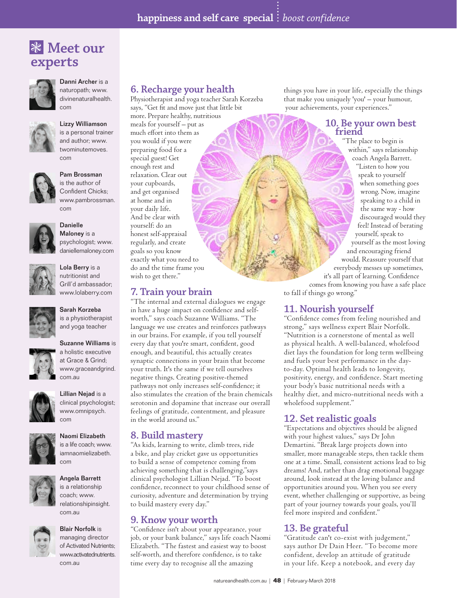# ❃ **Meet our experts**



### Danni Archer is a naturopath; www.

divinenaturalhealth. com



#### Lizzy Williamson is a personal trainer

and author; www. twominutemoves. com



#### Pam Brossman is the author of

Confident Chicks; www.pambrossman. com



Danielle Maloney is a

psychologist; www. daniellemaloney.com



### nutritionist and Grill'd ambassador; www.lolaberry.com

Lola Berry is a

Sarah Korzeba is a physiotherapist and yoga teacher

### Suzanne Williams is

a holistic executive at Grace & Grind; www.graceandgrind. com.au



### clinical psychologist; www.omnipsych.

com

Lillian Nejad is a



is a life coach; www. iamnaomielizabeth. com



### Angela Barrett

is a relationship coach; www. relationshipinsight. com.au



### Blair Norfolk is managing director

of Activated Nutrients; www.activatednutrients. com.au

# **6. Recharge your health**

Physiotherapist and yoga teacher Sarah Korzeba says, "Get fit and move just that little bit more. Prepare healthy, nutritious meals for yourself – put as much effort into them as you would if you were preparing food for a special guest! Get enough rest and relaxation. Clear out your cupboards, and get organised at home and in your daily life. And be clear with yourself: do an honest self-appraisal regularly, and create goals so you know exactly what you need to do and the time frame you

# **7. Train your brain**

wish to get there."

"The internal and external dialogues we engage in have a huge impact on confidence and selfworth," says coach Suzanne Williams. "The language we use creates and reinforces pathways in our brains. For example, if you tell yourself every day that you're smart, confident, good enough, and beautiful, this actually creates synaptic connections in your brain that become your truth. It's the same if we tell ourselves negative things. Creating positive-themed pathways not only increases self-confidence; it also stimulates the creation of the brain chemicals serotonin and dopamine that increase our overall feelings of gratitude, contentment, and pleasure in the world around us."

### **8. Build mastery**

"As kids, learning to write, climb trees, ride a bike, and play cricket gave us opportunities to build a sense of competence coming from achieving something that is challenging,"says clinical psychologist Lillian Nejad. "To boost confidence, reconnect to your childhood sense of curiosity, adventure and determination by trying to build mastery every day."

### **9. Know your worth**

"Confidence isn't about your appearance, your job, or your bank balance," says life coach Naomi Elizabeth. "The fastest and easiest way to boost self-worth, and therefore confidence, is to take time every day to recognise all the amazing

things you have in your life, especially the things that make you uniquely 'you' – your humour, your achievements, your experiences."

# **10. Be your own best friend**

"The place to begin is within," says relationship coach Angela Barrett. "Listen to how you speak to yourself when something goes wrong. Now, imagine speaking to a child in the same way - how discouraged would they feel! Instead of berating yourself, speak to yourself as the most loving and encouraging friend would. Reassure yourself that everybody messes up sometimes, it's all part of learning. Confidence comes from knowing you have a safe place to fall if things go wrong."

# **11. Nourish yourself**

"Confidence comes from feeling nourished and strong," says wellness expert Blair Norfolk. "Nutrition is a cornerstone of mental as well as physical health. A well-balanced, wholefood diet lays the foundation for long term wellbeing and fuels your best performance in the dayto-day. Optimal health leads to longevity, positivity, energy, and confidence. Start meeting your body's basic nutritional needs with a healthy diet, and micro-nutritional needs with a wholefood supplement."

### **12. Set realistic goals**

"Expectations and objectives should be aligned with your highest values," says Dr John Demartini. "Break large projects down into smaller, more manageable steps, then tackle them one at a time. Small, consistent actions lead to big dreams! And, rather than drag emotional baggage around, look instead at the loving balance and opportunities around you. When you see every event, whether challenging or supportive, as being part of your journey towards your goals, you'll feel more inspired and confident."

# **13. Be grateful**

"Gratitude can't co-exist with judgement," says author Dr Dain Heer. "To become more confident, develop an attitude of gratitude in your life. Keep a notebook, and every day